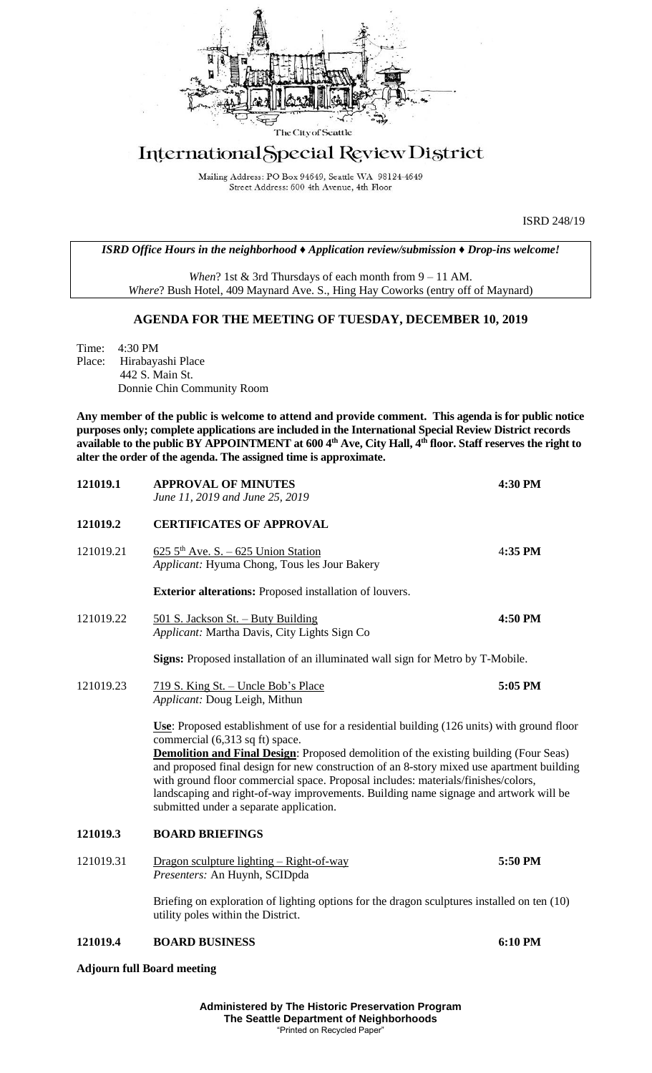

# International Special Review District

Mailing Address: PO Box 94649, Seattle WA 98124-4649 Street Address: 600 4th Avenue, 4th Floor

ISRD 248/19

*ISRD Office Hours in the neighborhood ♦ Application review/submission ♦ Drop-ins welcome!*

*When*? 1st & 3rd Thursdays of each month from 9 – 11 AM. *Where*? Bush Hotel, 409 Maynard Ave. S., Hing Hay Coworks (entry off of Maynard)

### **AGENDA FOR THE MEETING OF TUESDAY, DECEMBER 10, 2019**

Time: 4:30 PM Place: Hirabayashi Place 442 S. Main St. Donnie Chin Community Room

**Any member of the public is welcome to attend and provide comment. This agenda is for public notice purposes only; complete applications are included in the International Special Review District records available to the public BY APPOINTMENT at 600 4th Ave, City Hall, 4th floor. Staff reserves the right to alter the order of the agenda. The assigned time is approximate.** 

| 121019.1  | <b>APPROVAL OF MINUTES</b><br>June 11, 2019 and June 25, 2019                                                                                                                                                                                                                                                                                                                                                                                                                                                                                       | 4:30 PM |
|-----------|-----------------------------------------------------------------------------------------------------------------------------------------------------------------------------------------------------------------------------------------------------------------------------------------------------------------------------------------------------------------------------------------------------------------------------------------------------------------------------------------------------------------------------------------------------|---------|
| 121019.2  | <b>CERTIFICATES OF APPROVAL</b>                                                                                                                                                                                                                                                                                                                                                                                                                                                                                                                     |         |
| 121019.21 | $6255th$ Ave. S. – 625 Union Station<br>Applicant: Hyuma Chong, Tous les Jour Bakery                                                                                                                                                                                                                                                                                                                                                                                                                                                                | 4:35 PM |
|           | <b>Exterior alterations:</b> Proposed installation of louvers.                                                                                                                                                                                                                                                                                                                                                                                                                                                                                      |         |
| 121019.22 | 501 S. Jackson St. - Buty Building<br>Applicant: Martha Davis, City Lights Sign Co                                                                                                                                                                                                                                                                                                                                                                                                                                                                  | 4:50 PM |
|           | Signs: Proposed installation of an illuminated wall sign for Metro by T-Mobile.                                                                                                                                                                                                                                                                                                                                                                                                                                                                     |         |
| 121019.23 | <u>719 S. King St. – Uncle Bob's Place</u><br>Applicant: Doug Leigh, Mithun                                                                                                                                                                                                                                                                                                                                                                                                                                                                         | 5:05 PM |
|           | Use: Proposed establishment of use for a residential building (126 units) with ground floor<br>commercial (6,313 sq ft) space.<br><b>Demolition and Final Design:</b> Proposed demolition of the existing building (Four Seas)<br>and proposed final design for new construction of an 8-story mixed use apartment building<br>with ground floor commercial space. Proposal includes: materials/finishes/colors,<br>landscaping and right-of-way improvements. Building name signage and artwork will be<br>submitted under a separate application. |         |
| 121019.3  | <b>BOARD BRIEFINGS</b>                                                                                                                                                                                                                                                                                                                                                                                                                                                                                                                              |         |
| 121019.31 | <u> Dragon sculpture lighting – Right-of-way</u><br>Presenters: An Huynh, SCIDpda                                                                                                                                                                                                                                                                                                                                                                                                                                                                   | 5:50 PM |
|           | Briefing on exploration of lighting options for the dragon sculptures installed on ten (10)<br>utility poles within the District.                                                                                                                                                                                                                                                                                                                                                                                                                   |         |
| 121019.4  | <b>BOARD BUSINESS</b>                                                                                                                                                                                                                                                                                                                                                                                                                                                                                                                               | 6:10 PM |

**Adjourn full Board meeting**